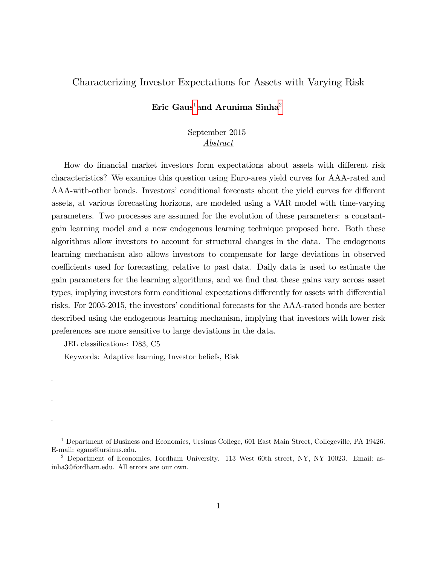#### Characterizing Investor Expectations for Assets with Varying Risk

#### Eric Gaus<sup>1</sup>and Arunima Sinha<sup>[2](#page-0-0)</sup>

#### September 2015 Abstract

How do financial market investors form expectations about assets with different risk characteristics? We examine this question using Euro-area yield curves for AAA-rated and AAA-with-other bonds. Investors' conditional forecasts about the yield curves for different assets, at various forecasting horizons, are modeled using a VAR model with time-varying parameters. Two processes are assumed for the evolution of these parameters: a constantgain learning model and a new endogenous learning technique proposed here. Both these algorithms allow investors to account for structural changes in the data. The endogenous learning mechanism also allows investors to compensate for large deviations in observed coefficients used for forecasting, relative to past data. Daily data is used to estimate the gain parameters for the learning algorithms, and we Önd that these gains vary across asset types, implying investors form conditional expectations differently for assets with differential risks. For 2005-2015, the investors' conditional forecasts for the AAA-rated bonds are better described using the endogenous learning mechanism, implying that investors with lower risk preferences are more sensitive to large deviations in the data.

JEL classifications: D83, C5

.

.

.

Keywords: Adaptive learning, Investor beliefs, Risk

<span id="page-0-0"></span><sup>&</sup>lt;sup>1</sup> Department of Business and Economics, Ursinus College, 601 East Main Street, Collegeville, PA 19426. E-mail: egaus@ursinus.edu.

<sup>&</sup>lt;sup>2</sup> Department of Economics, Fordham University. 113 West 60th street, NY, NY 10023. Email: asinha3@fordham.edu. All errors are our own.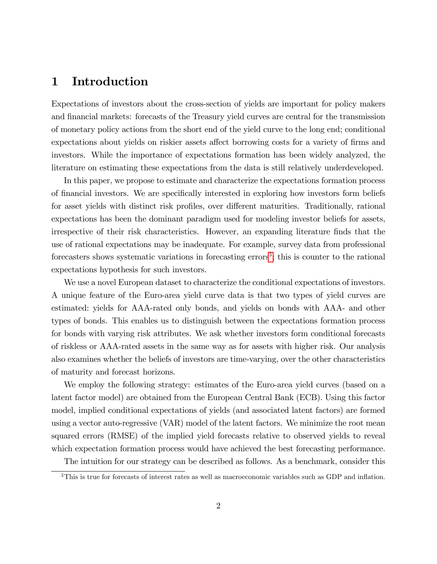## 1 Introduction

Expectations of investors about the cross-section of yields are important for policy makers and financial markets: forecasts of the Treasury yield curves are central for the transmission of monetary policy actions from the short end of the yield curve to the long end; conditional expectations about yields on riskier assets affect borrowing costs for a variety of firms and investors. While the importance of expectations formation has been widely analyzed, the literature on estimating these expectations from the data is still relatively underdeveloped.

In this paper, we propose to estimate and characterize the expectations formation process of financial investors. We are specifically interested in exploring how investors form beliefs for asset yields with distinct risk profiles, over different maturities. Traditionally, rational expectations has been the dominant paradigm used for modeling investor beliefs for assets, irrespective of their risk characteristics. However, an expanding literature finds that the use of rational expectations may be inadequate. For example, survey data from professional forecasters shows systematic variations in forecasting errors<sup>[3](#page-1-0)</sup>; this is counter to the rational expectations hypothesis for such investors.

We use a novel European dataset to characterize the conditional expectations of investors. A unique feature of the Euro-area yield curve data is that two types of yield curves are estimated: yields for AAA-rated only bonds, and yields on bonds with AAA- and other types of bonds. This enables us to distinguish between the expectations formation process for bonds with varying risk attributes. We ask whether investors form conditional forecasts of riskless or AAA-rated assets in the same way as for assets with higher risk. Our analysis also examines whether the beliefs of investors are time-varying, over the other characteristics of maturity and forecast horizons.

We employ the following strategy: estimates of the Euro-area yield curves (based on a latent factor model) are obtained from the European Central Bank (ECB). Using this factor model, implied conditional expectations of yields (and associated latent factors) are formed using a vector auto-regressive (VAR) model of the latent factors. We minimize the root mean squared errors (RMSE) of the implied yield forecasts relative to observed yields to reveal which expectation formation process would have achieved the best forecasting performance.

The intuition for our strategy can be described as follows. As a benchmark, consider this

<span id="page-1-0"></span> $3$ This is true for forecasts of interest rates as well as macroeconomic variables such as GDP and inflation.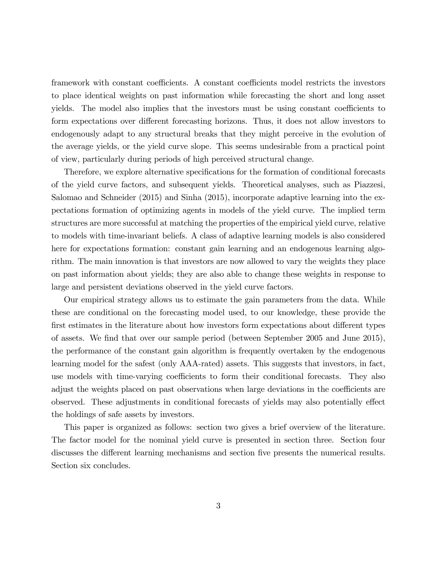framework with constant coefficients. A constant coefficients model restricts the investors to place identical weights on past information while forecasting the short and long asset yields. The model also implies that the investors must be using constant coefficients to form expectations over different forecasting horizons. Thus, it does not allow investors to endogenously adapt to any structural breaks that they might perceive in the evolution of the average yields, or the yield curve slope. This seems undesirable from a practical point of view, particularly during periods of high perceived structural change.

Therefore, we explore alternative specifications for the formation of conditional forecasts of the yield curve factors, and subsequent yields. Theoretical analyses, such as Piazzesi, Salomao and Schneider (2015) and Sinha (2015), incorporate adaptive learning into the expectations formation of optimizing agents in models of the yield curve. The implied term structures are more successful at matching the properties of the empirical yield curve, relative to models with time-invariant beliefs. A class of adaptive learning models is also considered here for expectations formation: constant gain learning and an endogenous learning algorithm. The main innovation is that investors are now allowed to vary the weights they place on past information about yields; they are also able to change these weights in response to large and persistent deviations observed in the yield curve factors.

Our empirical strategy allows us to estimate the gain parameters from the data. While these are conditional on the forecasting model used, to our knowledge, these provide the first estimates in the literature about how investors form expectations about different types of assets. We Önd that over our sample period (between September 2005 and June 2015), the performance of the constant gain algorithm is frequently overtaken by the endogenous learning model for the safest (only AAA-rated) assets. This suggests that investors, in fact, use models with time-varying coefficients to form their conditional forecasts. They also adjust the weights placed on past observations when large deviations in the coefficients are observed. These adjustments in conditional forecasts of yields may also potentially effect the holdings of safe assets by investors.

This paper is organized as follows: section two gives a brief overview of the literature. The factor model for the nominal yield curve is presented in section three. Section four discusses the different learning mechanisms and section five presents the numerical results. Section six concludes.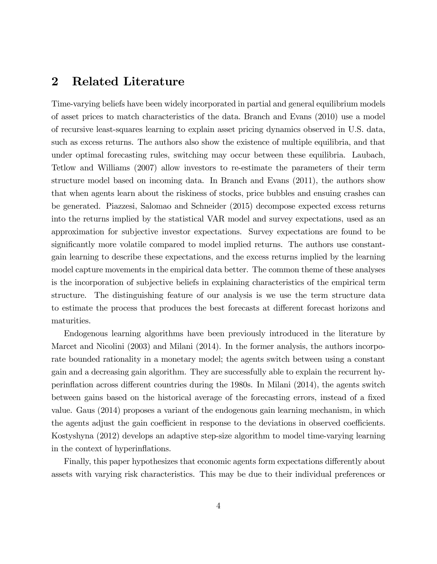## 2 Related Literature

Time-varying beliefs have been widely incorporated in partial and general equilibrium models of asset prices to match characteristics of the data. Branch and Evans (2010) use a model of recursive least-squares learning to explain asset pricing dynamics observed in U.S. data, such as excess returns. The authors also show the existence of multiple equilibria, and that under optimal forecasting rules, switching may occur between these equilibria. Laubach, Tetlow and Williams (2007) allow investors to re-estimate the parameters of their term structure model based on incoming data. In Branch and Evans (2011), the authors show that when agents learn about the riskiness of stocks, price bubbles and ensuing crashes can be generated. Piazzesi, Salomao and Schneider (2015) decompose expected excess returns into the returns implied by the statistical VAR model and survey expectations, used as an approximation for subjective investor expectations. Survey expectations are found to be significantly more volatile compared to model implied returns. The authors use constantgain learning to describe these expectations, and the excess returns implied by the learning model capture movements in the empirical data better. The common theme of these analyses is the incorporation of subjective beliefs in explaining characteristics of the empirical term structure. The distinguishing feature of our analysis is we use the term structure data to estimate the process that produces the best forecasts at different forecast horizons and maturities.

Endogenous learning algorithms have been previously introduced in the literature by Marcet and Nicolini (2003) and Milani (2014). In the former analysis, the authors incorporate bounded rationality in a monetary model; the agents switch between using a constant gain and a decreasing gain algorithm. They are successfully able to explain the recurrent hyperinflation across different countries during the  $1980s$ . In Milani  $(2014)$ , the agents switch between gains based on the historical average of the forecasting errors, instead of a fixed value. Gaus (2014) proposes a variant of the endogenous gain learning mechanism, in which the agents adjust the gain coefficient in response to the deviations in observed coefficients. Kostyshyna (2012) develops an adaptive step-size algorithm to model time-varying learning in the context of hyperinflations.

Finally, this paper hypothesizes that economic agents form expectations differently about assets with varying risk characteristics. This may be due to their individual preferences or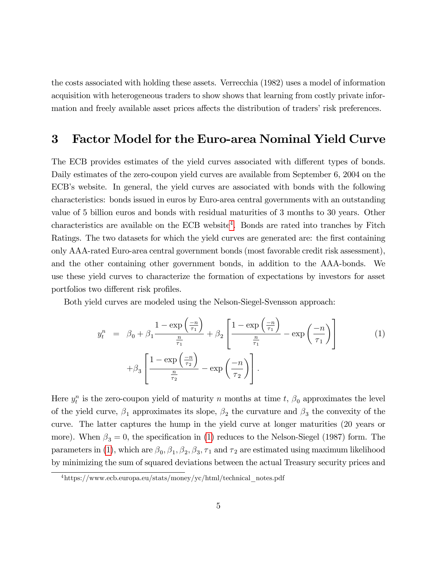the costs associated with holding these assets. Verrecchia (1982) uses a model of information acquisition with heterogeneous traders to show shows that learning from costly private information and freely available asset prices affects the distribution of traders' risk preferences.

### 3 Factor Model for the Euro-area Nominal Yield Curve

The ECB provides estimates of the yield curves associated with different types of bonds. Daily estimates of the zero-coupon yield curves are available from September 6, 2004 on the ECB's website. In general, the yield curves are associated with bonds with the following characteristics: bonds issued in euros by Euro-area central governments with an outstanding value of 5 billion euros and bonds with residual maturities of 3 months to 30 years. Other characteristics are available on the ECB website<sup>[4](#page-4-0)</sup>. Bonds are rated into tranches by Fitch Ratings. The two datasets for which the yield curves are generated are: the first containing only AAA-rated Euro-area central government bonds (most favorable credit risk assessment), and the other containing other government bonds, in addition to the AAA-bonds. We use these yield curves to characterize the formation of expectations by investors for asset portfolios two different risk profiles.

Both yield curves are modeled using the Nelson-Siegel-Svensson approach:

<span id="page-4-1"></span>
$$
y_t^n = \beta_0 + \beta_1 \frac{1 - \exp\left(\frac{-n}{\tau_1}\right)}{\frac{n}{\tau_1}} + \beta_2 \left[ \frac{1 - \exp\left(\frac{-n}{\tau_1}\right)}{\frac{n}{\tau_1}} - \exp\left(\frac{-n}{\tau_1}\right) \right]
$$
  
+ 
$$
\beta_3 \left[ \frac{1 - \exp\left(\frac{-n}{\tau_2}\right)}{\frac{n}{\tau_2}} - \exp\left(\frac{-n}{\tau_2}\right) \right].
$$
 (1)

Here  $y_t^n$  is the zero-coupon yield of maturity n months at time t,  $\beta_0$  approximates the level of the yield curve,  $\beta_1$  approximates its slope,  $\beta_2$  the curvature and  $\beta_3$  the convexity of the curve. The latter captures the hump in the yield curve at longer maturities (20 years or more). When  $\beta_3 = 0$ , the specification in [\(1\)](#page-4-1) reduces to the Nelson-Siegel (1987) form. The parameters in [\(1\)](#page-4-1), which are  $\beta_0$ ,  $\beta_1$ ,  $\beta_2$ ,  $\beta_3$ ,  $\tau_1$  and  $\tau_2$  are estimated using maximum likelihood by minimizing the sum of squared deviations between the actual Treasury security prices and

<span id="page-4-0"></span><sup>4</sup>https://www.ecb.europa.eu/stats/money/yc/html/technical\_notes.pdf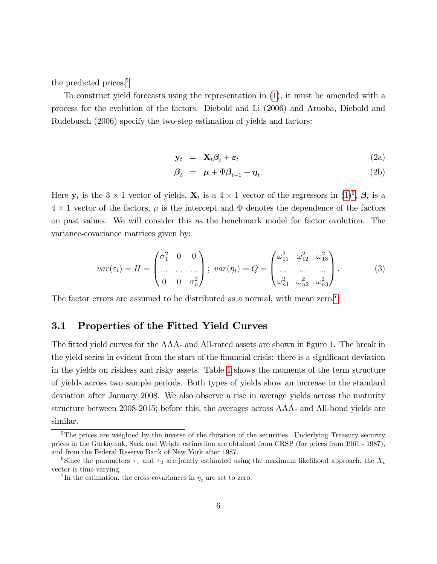the predicted prices.<sup>[5](#page-5-0)</sup>

<span id="page-5-3"></span>To construct yield forecasts using the representation in [\(1\)](#page-4-1), it must be amended with a process for the evolution of the factors. Diebold and Li (2006) and Aruoba, Diebold and Rudebusch (2006) specify the two-step estimation of yields and factors:

<span id="page-5-4"></span>
$$
\mathbf{y}_t = \mathbf{X}_t \boldsymbol{\beta}_t + \boldsymbol{\varepsilon}_t \tag{2a}
$$

$$
\beta_t = \mu + \Phi \beta_{t-1} + \eta_t. \tag{2b}
$$

Here  $y_t$  is the  $3 \times 1$  vector of yields,  $X_t$  is a  $4 \times 1$  vector of the regressors in  $(1)^6$  $(1)^6$  $(1)^6$ ,  $\beta_t$  is a  $4 \times 1$  vector of the factors,  $\mu$  is the intercept and  $\Phi$  denotes the dependence of the factors on past values. We will consider this as the benchmark model for factor evolution. The variance-covariance matrices given by:

$$
var(\varepsilon_t) = H = \begin{pmatrix} \sigma_1^2 & 0 & 0 \\ \dots & \dots & \dots \\ 0 & 0 & \sigma_n^2 \end{pmatrix}; \ var(\eta_t) = Q = \begin{pmatrix} \omega_{11}^2 & \omega_{12}^2 & \omega_{13}^2 \\ \dots & \dots & \dots \\ \omega_{n1}^2 & \omega_{n2}^2 & \omega_{n3}^2 \end{pmatrix}.
$$
 (3)

The factor errors are assumed to be distributed as a normal, with mean zero.<sup>[7](#page-5-2)</sup>

#### 3.1 Properties of the Fitted Yield Curves

The fitted yield curves for the AAA- and All-rated assets are shown in figure 1. The break in the yield series in evident from the start of the financial crisis: there is a significant deviation in the yields on riskless and risky assets. Table [1](#page-15-0) shows the moments of the term structure of yields across two sample periods. Both types of yields show an increase in the standard deviation after January 2008. We also observe a rise in average yields across the maturity structure between 2008-2015; before this, the averages across AAA- and All-bond yields are similar.

<span id="page-5-0"></span><sup>&</sup>lt;sup>5</sup>The prices are weighted by the inverse of the duration of the securities. Underlying Treasury security prices in the Gürkaynak, Sack and Wright estimation are obtained from CRSP (for prices from 1961 - 1987), and from the Federal Reserve Bank of New York after 1987.

<span id="page-5-1"></span><sup>&</sup>lt;sup>6</sup>Since the parameters  $\tau_1$  and  $\tau_2$  are jointly estimated using the maximum likelihood approach, the  $X_t$ vector is time-varying.

<span id="page-5-2"></span><sup>&</sup>lt;sup>7</sup>In the estimation, the cross covariances in  $\eta_t$  are set to zero.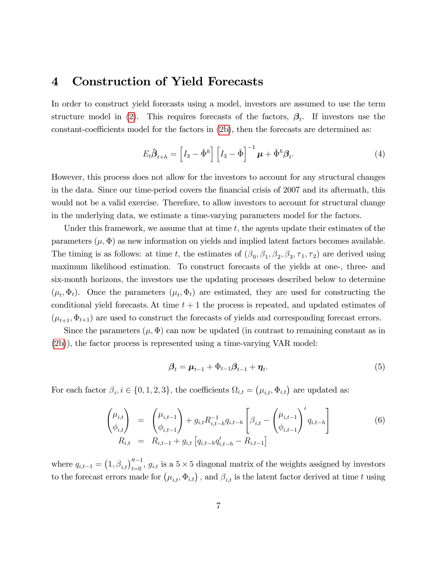## 4 Construction of Yield Forecasts

In order to construct yield forecasts using a model, investors are assumed to use the term structure model in [\(2\)](#page-5-3). This requires forecasts of the factors,  $\beta_t$ . If investors use the constant-coefficients model for the factors in  $(2b)$ , then the forecasts are determined as:

<span id="page-6-2"></span>
$$
E_t \hat{\boldsymbol{\beta}}_{t+h} = \left[ I_3 - \hat{\Phi}^h \right] \left[ I_3 - \hat{\Phi} \right]^{-1} \boldsymbol{\mu} + \hat{\Phi}^h \boldsymbol{\beta}_t. \tag{4}
$$

However, this process does not allow for the investors to account for any structural changes in the data. Since our time-period covers the Önancial crisis of 2007 and its aftermath, this would not be a valid exercise. Therefore, to allow investors to account for structural change in the underlying data, we estimate a time-varying parameters model for the factors.

Under this framework, we assume that at time  $t$ , the agents update their estimates of the parameters  $(\mu, \Phi)$  as new information on yields and implied latent factors becomes available. The timing is as follows: at time t, the estimates of  $(\beta_0, \beta_1, \beta_2, \beta_3, \tau_1, \tau_2)$  are derived using maximum likelihood estimation. To construct forecasts of the yields at one-, three- and six-month horizons, the investors use the updating processes described below to determine  $(\mu_t, \Phi_t)$ . Once the parameters  $(\mu_t, \Phi_t)$  are estimated, they are used for constructing the conditional yield forecasts. At time  $t + 1$  the process is repeated, and updated estimates of  $(\mu_{t+1}, \Phi_{t+1})$  are used to construct the forecasts of yields and corresponding forecast errors.

Since the parameters  $(\mu, \Phi)$  can now be updated (in contrast to remaining constant as in [\(2b\)](#page-5-4)), the factor process is represented using a time-varying VAR model:

<span id="page-6-0"></span>
$$
\boldsymbol{\beta}_t = \boldsymbol{\mu}_{t-1} + \Phi_{t-1} \boldsymbol{\beta}_{t-1} + \boldsymbol{\eta}_t. \tag{5}
$$

For each factor  $\beta_i, i \in \{0, 1, 2, 3\}$ , the coefficients  $\Omega_{i,t} = (\mu_{i,t}, \Phi_{i,t})$  are updated as:

<span id="page-6-1"></span>
$$
\begin{pmatrix} \mu_{i,t} \\ \phi_{i,t} \end{pmatrix} = \begin{pmatrix} \mu_{i,t-1} \\ \phi_{i,t-1} \end{pmatrix} + g_{i,t} R_{i,t-h}^{-1} q_{i,t-h} \begin{bmatrix} \beta_{i,t} - \begin{pmatrix} \mu_{i,t-1} \\ \phi_{i,t-1} \end{pmatrix}' q_{i,t-h} \end{bmatrix}
$$
\n(6)\n
$$
R_{i,t} = R_{i,t-1} + g_{i,t} \begin{bmatrix} q_{i,t-h} q'_{i,t-h} - R_{i,t-1} \end{bmatrix}
$$

where  $q_{i,t-1} = (1, \beta_{i,t})_{t=0}^{t-1}$ ,  $g_{i,t}$  is a  $5 \times 5$  diagonal matrix of the weights assigned by investors to the forecast errors made for  $(\mu_{i,t}, \Phi_{i,t})$ , and  $\beta_{i,t}$  is the latent factor derived at time t using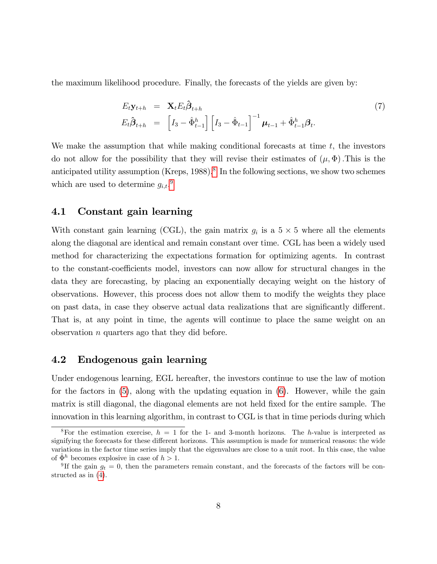the maximum likelihood procedure. Finally, the forecasts of the yields are given by:

<span id="page-7-2"></span>
$$
E_t \mathbf{y}_{t+h} = \mathbf{X}_t E_t \hat{\boldsymbol{\beta}}_{t+h}
$$
  
\n
$$
E_t \hat{\boldsymbol{\beta}}_{t+h} = \left[ I_3 - \hat{\Phi}_{t-1}^h \right] \left[ I_3 - \hat{\Phi}_{t-1} \right]^{-1} \boldsymbol{\mu}_{t-1} + \hat{\Phi}_{t-1}^h \boldsymbol{\beta}_t.
$$
\n(7)

We make the assumption that while making conditional forecasts at time  $t$ , the investors do not allow for the possibility that they will revise their estimates of  $(\mu, \Phi)$ . This is the anticipated utility assumption (Kreps,  $1988$  $1988$  $1988$ ).<sup>8</sup> In the following sections, we show two schemes which are used to determine  $g_{i,t}$ .<sup>[9](#page-7-1)</sup>

#### 4.1 Constant gain learning

With constant gain learning (CGL), the gain matrix  $g_i$  is a  $5 \times 5$  where all the elements along the diagonal are identical and remain constant over time. CGL has been a widely used method for characterizing the expectations formation for optimizing agents. In contrast to the constant-coefficients model, investors can now allow for structural changes in the data they are forecasting, by placing an exponentially decaying weight on the history of observations. However, this process does not allow them to modify the weights they place on past data, in case they observe actual data realizations that are significantly different. That is, at any point in time, the agents will continue to place the same weight on an observation n quarters ago that they did before.

#### 4.2 Endogenous gain learning

Under endogenous learning, EGL hereafter, the investors continue to use the law of motion for the factors in  $(5)$ , along with the updating equation in  $(6)$ . However, while the gain matrix is still diagonal, the diagonal elements are not held fixed for the entire sample. The innovation in this learning algorithm, in contrast to CGL is that in time periods during which

<span id="page-7-0"></span><sup>&</sup>lt;sup>8</sup>For the estimation exercise,  $h = 1$  for the 1- and 3-month horizons. The h-value is interpreted as signifying the forecasts for these different horizons. This assumption is made for numerical reasons: the wide variations in the factor time series imply that the eigenvalues are close to a unit root. In this case, the value of  $\hat{\Phi}^h$  becomes explosive in case of  $h > 1$ .

<span id="page-7-1"></span><sup>&</sup>lt;sup>9</sup>If the gain  $g_t = 0$ , then the parameters remain constant, and the forecasts of the factors will be constructed as in [\(4\)](#page-6-2).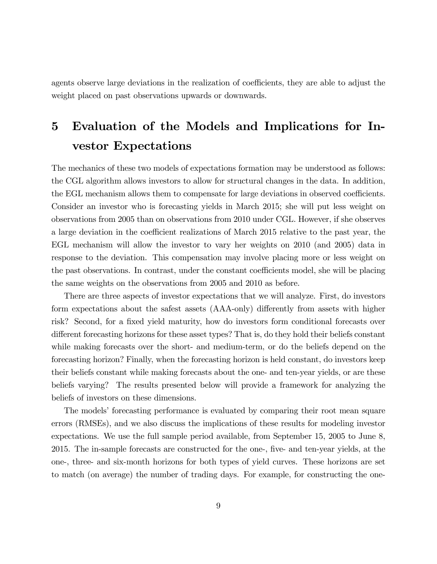agents observe large deviations in the realization of coefficients, they are able to adjust the weight placed on past observations upwards or downwards.

## 5 Evaluation of the Models and Implications for Investor Expectations

The mechanics of these two models of expectations formation may be understood as follows: the CGL algorithm allows investors to allow for structural changes in the data. In addition, the EGL mechanism allows them to compensate for large deviations in observed coefficients. Consider an investor who is forecasting yields in March 2015; she will put less weight on observations from 2005 than on observations from 2010 under CGL. However, if she observes a large deviation in the coefficient realizations of March 2015 relative to the past year, the EGL mechanism will allow the investor to vary her weights on 2010 (and 2005) data in response to the deviation. This compensation may involve placing more or less weight on the past observations. In contrast, under the constant coefficients model, she will be placing the same weights on the observations from 2005 and 2010 as before.

There are three aspects of investor expectations that we will analyze. First, do investors form expectations about the safest assets (AAA-only) differently from assets with higher risk? Second, for a fixed yield maturity, how do investors form conditional forecasts over different forecasting horizons for these asset types? That is, do they hold their beliefs constant while making forecasts over the short- and medium-term, or do the beliefs depend on the forecasting horizon? Finally, when the forecasting horizon is held constant, do investors keep their beliefs constant while making forecasts about the one- and ten-year yields, or are these beliefs varying? The results presented below will provide a framework for analyzing the beliefs of investors on these dimensions.

The models' forecasting performance is evaluated by comparing their root mean square errors (RMSEs), and we also discuss the implications of these results for modeling investor expectations. We use the full sample period available, from September 15, 2005 to June 8, 2015. The in-sample forecasts are constructed for the one-, Öve- and ten-year yields, at the one-, three- and six-month horizons for both types of yield curves. These horizons are set to match (on average) the number of trading days. For example, for constructing the one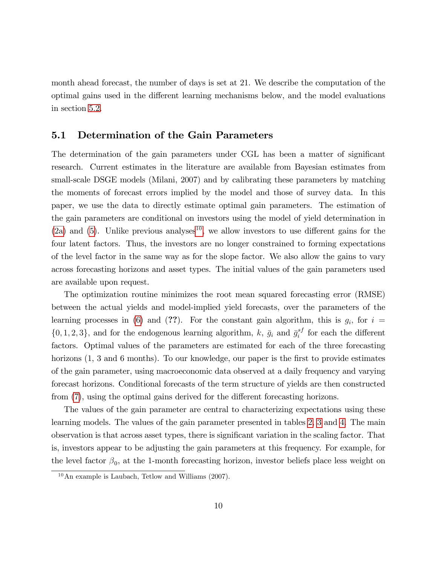month ahead forecast, the number of days is set at 21. We describe the computation of the optimal gains used in the different learning mechanisms below, and the model evaluations in section [5.2.](#page-10-0)

#### 5.1 Determination of the Gain Parameters

The determination of the gain parameters under CGL has been a matter of significant research. Current estimates in the literature are available from Bayesian estimates from small-scale DSGE models (Milani, 2007) and by calibrating these parameters by matching the moments of forecast errors implied by the model and those of survey data. In this paper, we use the data to directly estimate optimal gain parameters. The estimation of the gain parameters are conditional on investors using the model of yield determination in [\(2a\)](#page-5-4) and [\(5\)](#page-6-0). Unlike previous analyses<sup>[10](#page-9-0)</sup>, we allow investors to use different gains for the four latent factors. Thus, the investors are no longer constrained to forming expectations of the level factor in the same way as for the slope factor. We also allow the gains to vary across forecasting horizons and asset types. The initial values of the gain parameters used are available upon request.

The optimization routine minimizes the root mean squared forecasting error (RMSE) between the actual yields and model-implied yield forecasts, over the parameters of the learning processes in [\(6\)](#page-6-1) and (??). For the constant gain algorithm, this is  $g_i$ , for  $i =$  $\{0, 1, 2, 3\}$ , and for the endogenous learning algorithm, k,  $\bar{g}_i$  and  $\bar{g}_i^{sf}$  $i<sup>sf</sup>$  for each the different factors. Optimal values of the parameters are estimated for each of the three forecasting horizons  $(1, 3 \text{ and } 6 \text{ months})$ . To our knowledge, our paper is the first to provide estimates of the gain parameter, using macroeconomic data observed at a daily frequency and varying forecast horizons. Conditional forecasts of the term structure of yields are then constructed from [\(7\)](#page-7-2), using the optimal gains derived for the different forecasting horizons.

The values of the gain parameter are central to characterizing expectations using these learning models. The values of the gain parameter presented in tables [2,](#page-16-0) [3](#page-18-0) and [4.](#page-20-0) The main observation is that across asset types, there is signiÖcant variation in the scaling factor. That is, investors appear to be adjusting the gain parameters at this frequency. For example, for the level factor  $\beta_0$ , at the 1-month forecasting horizon, investor beliefs place less weight on

<span id="page-9-0"></span> $10$ An example is Laubach, Tetlow and Williams (2007).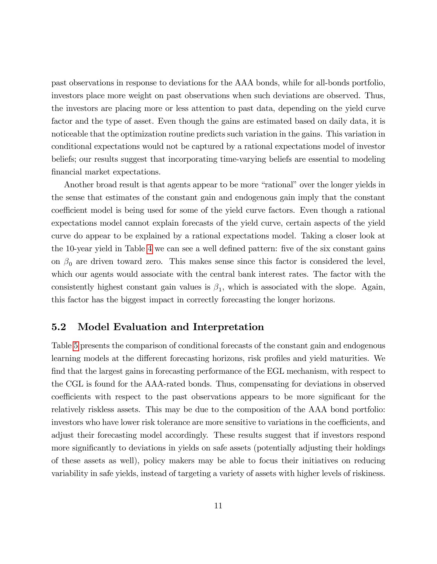past observations in response to deviations for the AAA bonds, while for all-bonds portfolio, investors place more weight on past observations when such deviations are observed. Thus, the investors are placing more or less attention to past data, depending on the yield curve factor and the type of asset. Even though the gains are estimated based on daily data, it is noticeable that the optimization routine predicts such variation in the gains. This variation in conditional expectations would not be captured by a rational expectations model of investor beliefs; our results suggest that incorporating time-varying beliefs are essential to modeling financial market expectations.

Another broad result is that agents appear to be more "rational" over the longer yields in the sense that estimates of the constant gain and endogenous gain imply that the constant coefficient model is being used for some of the yield curve factors. Even though a rational expectations model cannot explain forecasts of the yield curve, certain aspects of the yield curve do appear to be explained by a rational expectations model. Taking a closer look at the 10-year yield in Table [4](#page-20-0) we can see a well defined pattern: five of the six constant gains on  $\beta_0$  are driven toward zero. This makes sense since this factor is considered the level, which our agents would associate with the central bank interest rates. The factor with the consistently highest constant gain values is  $\beta_1$ , which is associated with the slope. Again, this factor has the biggest impact in correctly forecasting the longer horizons.

#### <span id="page-10-0"></span>5.2 Model Evaluation and Interpretation

Table [5](#page-22-0) presents the comparison of conditional forecasts of the constant gain and endogenous learning models at the different forecasting horizons, risk profiles and yield maturities. We find that the largest gains in forecasting performance of the EGL mechanism, with respect to the CGL is found for the AAA-rated bonds. Thus, compensating for deviations in observed coefficients with respect to the past observations appears to be more significant for the relatively riskless assets. This may be due to the composition of the AAA bond portfolio: investors who have lower risk tolerance are more sensitive to variations in the coefficients, and adjust their forecasting model accordingly. These results suggest that if investors respond more significantly to deviations in yields on safe assets (potentially adjusting their holdings of these assets as well), policy makers may be able to focus their initiatives on reducing variability in safe yields, instead of targeting a variety of assets with higher levels of riskiness.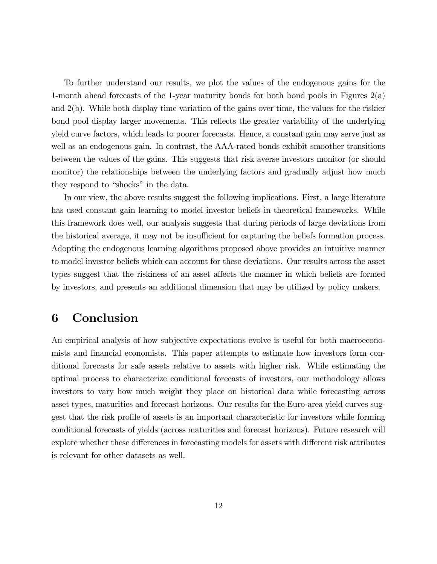To further understand our results, we plot the values of the endogenous gains for the 1-month ahead forecasts of the 1-year maturity bonds for both bond pools in Figures 2(a) and 2(b). While both display time variation of the gains over time, the values for the riskier bond pool display larger movements. This reflects the greater variability of the underlying yield curve factors, which leads to poorer forecasts. Hence, a constant gain may serve just as well as an endogenous gain. In contrast, the AAA-rated bonds exhibit smoother transitions between the values of the gains. This suggests that risk averse investors monitor (or should monitor) the relationships between the underlying factors and gradually adjust how much they respond to "shocks" in the data.

In our view, the above results suggest the following implications. First, a large literature has used constant gain learning to model investor beliefs in theoretical frameworks. While this framework does well, our analysis suggests that during periods of large deviations from the historical average, it may not be insufficient for capturing the beliefs formation process. Adopting the endogenous learning algorithms proposed above provides an intuitive manner to model investor beliefs which can account for these deviations. Our results across the asset types suggest that the riskiness of an asset affects the manner in which beliefs are formed by investors, and presents an additional dimension that may be utilized by policy makers.

## 6 Conclusion

An empirical analysis of how subjective expectations evolve is useful for both macroeconomists and financial economists. This paper attempts to estimate how investors form conditional forecasts for safe assets relative to assets with higher risk. While estimating the optimal process to characterize conditional forecasts of investors, our methodology allows investors to vary how much weight they place on historical data while forecasting across asset types, maturities and forecast horizons. Our results for the Euro-area yield curves suggest that the risk profile of assets is an important characteristic for investors while forming conditional forecasts of yields (across maturities and forecast horizons). Future research will explore whether these differences in forecasting models for assets with different risk attributes is relevant for other datasets as well.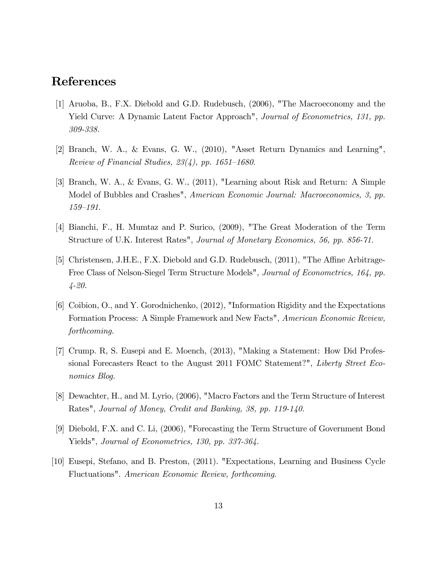### References

- [1] Aruoba, B., F.X. Diebold and G.D. Rudebusch, (2006), "The Macroeconomy and the Yield Curve: A Dynamic Latent Factor Approach", Journal of Econometrics, 131, pp. 309-338.
- [2] Branch, W. A., & Evans, G. W., (2010), "Asset Return Dynamics and Learning", Review of Financial Studies,  $23(4)$ , pp. 1651–1680.
- [3] Branch, W. A., & Evans, G. W., (2011), "Learning about Risk and Return: A Simple Model of Bubbles and Crashes", American Economic Journal: Macroeconomics, 3, pp.  $159 - 191.$
- [4] Bianchi, F., H. Mumtaz and P. Surico, (2009), "The Great Moderation of the Term Structure of U.K. Interest Rates", Journal of Monetary Economics, 56, pp. 856-71.
- [5] Christensen, J.H.E., F.X. Diebold and G.D. Rudebusch, (2011), "The Affine Arbitrage-Free Class of Nelson-Siegel Term Structure Models", *Journal of Econometrics*, 164, pp. 4-20.
- [6] Coibion, O., and Y. Gorodnichenko, (2012), "Information Rigidity and the Expectations Formation Process: A Simple Framework and New Facts", American Economic Review, forthcoming.
- [7] Crump. R, S. Eusepi and E. Moench, (2013), "Making a Statement: How Did Professional Forecasters React to the August 2011 FOMC Statement?", Liberty Street Economics Blog.
- [8] Dewachter, H., and M. Lyrio, (2006), "Macro Factors and the Term Structure of Interest Rates", Journal of Money, Credit and Banking, 38, pp. 119-140.
- [9] Diebold, F.X. and C. Li, (2006), "Forecasting the Term Structure of Government Bond Yields", *Journal of Econometrics*, 130, pp. 337-364.
- [10] Eusepi, Stefano, and B. Preston, (2011). "Expectations, Learning and Business Cycle Fluctuations". American Economic Review, forthcoming.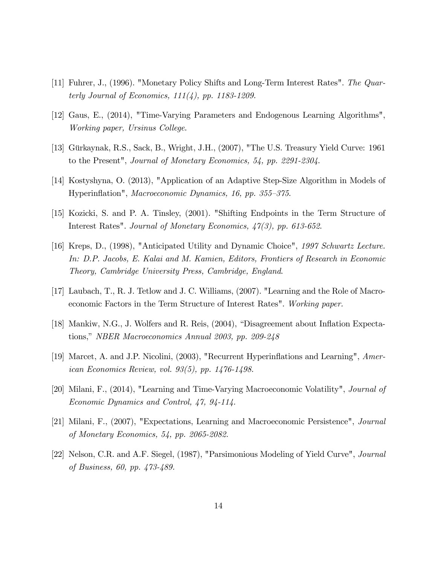- [11] Fuhrer, J., (1996). "Monetary Policy Shifts and Long-Term Interest Rates". The Quarterly Journal of Economics,  $111(4)$ , pp.  $1183-1209$ .
- [12] Gaus, E., (2014), "Time-Varying Parameters and Endogenous Learning Algorithms", Working paper, Ursinus College.
- [13] Gürkaynak, R.S., Sack, B., Wright, J.H., (2007), "The U.S. Treasury Yield Curve: 1961 to the Present", Journal of Monetary Economics, 54, pp. 2291-2304.
- [14] Kostyshyna, O. (2013), "Application of an Adaptive Step-Size Algorithm in Models of Hyperinflation", *Macroeconomic Dynamics*, 16, pp.  $355-375$ .
- [15] Kozicki, S. and P. A. Tinsley, (2001). "Shifting Endpoints in the Term Structure of Interest Rates". Journal of Monetary Economics, 47(3), pp. 613-652.
- [16] Kreps, D., (1998), "Anticipated Utility and Dynamic Choice", 1997 Schwartz Lecture. In: D.P. Jacobs, E. Kalai and M. Kamien, Editors, Frontiers of Research in Economic Theory, Cambridge University Press, Cambridge, England.
- [17] Laubach, T., R. J. Tetlow and J. C. Williams, (2007). "Learning and the Role of Macroeconomic Factors in the Term Structure of Interest Rates". Working paper.
- [18] Mankiw, N.G., J. Wolfers and R. Reis, (2004), "Disagreement about Inflation Expectations," NBER Macroeconomics Annual 2003, pp. 209-248
- [19] Marcet, A. and J.P. Nicolini, (2003), "Recurrent Hyperináations and Learning", American Economics Review, vol. 93(5), pp. 1476-1498.
- [20] Milani, F., (2014), "Learning and Time-Varying Macroeconomic Volatility", Journal of Economic Dynamics and Control, 47, 94-114.
- [21] Milani, F., (2007), "Expectations, Learning and Macroeconomic Persistence", Journal of Monetary Economics, 54, pp. 2065-2082.
- [22] Nelson, C.R. and A.F. Siegel, (1987), "Parsimonious Modeling of Yield Curve", Journal of Business, 60, pp. 473-489.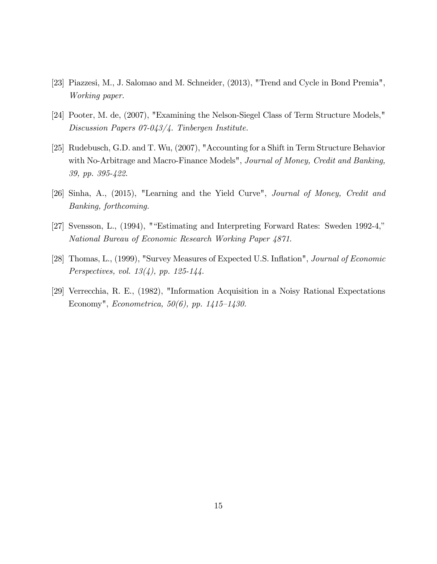- [23] Piazzesi, M., J. Salomao and M. Schneider, (2013), "Trend and Cycle in Bond Premia", Working paper.
- [24] Pooter, M. de, (2007), "Examining the Nelson-Siegel Class of Term Structure Models," Discussion Papers 07-043/4. Tinbergen Institute.
- [25] Rudebusch, G.D. and T. Wu, (2007), "Accounting for a Shift in Term Structure Behavior with No-Arbitrage and Macro-Finance Models", Journal of Money, Credit and Banking, 39, pp. 395-422.
- [26] Sinha, A., (2015), "Learning and the Yield Curve", Journal of Money, Credit and Banking, forthcoming.
- [27] Svensson, L., (1994), ""Estimating and Interpreting Forward Rates: Sweden 1992-4," National Bureau of Economic Research Working Paper 4871.
- [28] Thomas, L., (1999), "Survey Measures of Expected U.S. Inflation", *Journal of Economic* Perspectives, vol. 13(4), pp. 125-144.
- [29] Verrecchia, R. E., (1982), "Information Acquisition in a Noisy Rational Expectations Economy", *Econometrica*,  $50(6)$ , pp.  $1415-1430$ .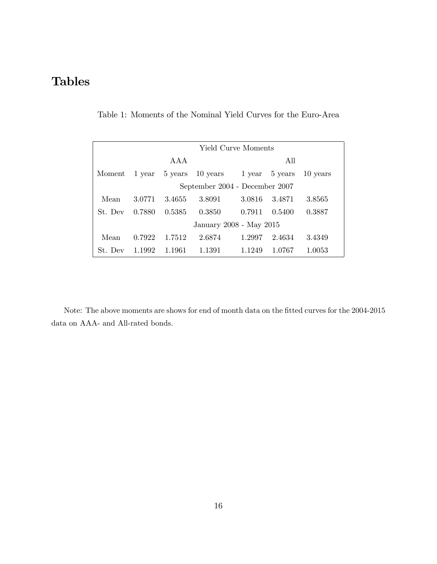## Tables

|         |        |          |                                                 | Yield Curve Moments |        |        |
|---------|--------|----------|-------------------------------------------------|---------------------|--------|--------|
|         |        | AAA      |                                                 |                     | All    |        |
| Moment  |        |          | 1 year 5 years 10 years 1 year 5 years 10 years |                     |        |        |
|         |        |          | September 2004 - December 2007                  |                     |        |        |
| Mean    | 3.0771 | 3.4655   | 3.8091                                          | 3.0816              | 3.4871 | 3.8565 |
| St. Dev | 0.7880 | 0.5385   | 0.3850                                          | 0.7911              | 0.5400 | 0.3887 |
|         |        |          | January 2008 - May 2015                         |                     |        |        |
| Mean    | 0.7922 | 1.7512   | 2.6874                                          | 1.2997              | 2.4634 | 3.4349 |
| St. Dev | 1.1992 | - 1.1961 | 1.1391                                          | 1.1249              | 1.0767 | 1.0053 |

<span id="page-15-0"></span>Table 1: Moments of the Nominal Yield Curves for the Euro-Area

Note: The above moments are shows for end of month data on the fitted curves for the 2004-2015 data on AAA- and All-rated bonds.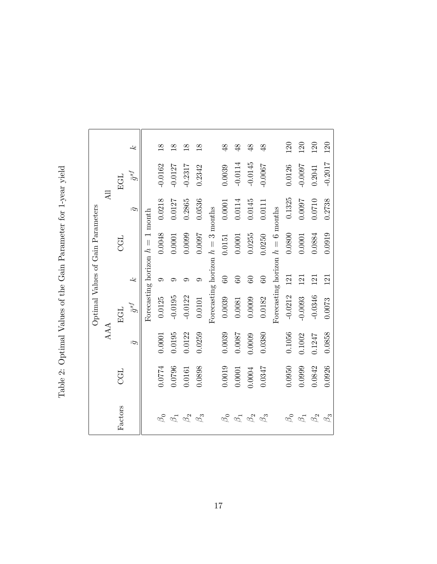| てんこう こうこうしゃ<br>ı<br>ï<br>l                 |
|--------------------------------------------|
| ו<br>ג                                     |
| $-516$ Mist<br>ſ                           |
| $\frac{1}{2}$<br>j                         |
| $\frac{1}{2}$<br>$-1$<br>١                 |
| $\frac{1}{2}$<br>ו<br>ו                    |
| $\ddot{\phantom{a}}$<br>$\frac{1}{2}$<br>ı |
| .<br>ม<br>ว<br>j<br>'<br>                  |

<span id="page-16-0"></span>

|             |        |            | Optimal Values of Gain Parameters |               |                                    |        |                |                |
|-------------|--------|------------|-----------------------------------|---------------|------------------------------------|--------|----------------|----------------|
|             |        | <b>AAA</b> |                                   |               |                                    | All    |                |                |
| Factors     | CGL    |            | EGL                               |               | CGL                                |        | EGL            |                |
|             |        | $\bar{9}$  | $\bar{g}^{sf}$                    | $\mathcal{L}$ |                                    | ō      | $\bar{g}^{sf}$ | Ł              |
|             |        |            |                                   |               | Forecasting horizon $h = 1$ month  |        |                |                |
| $\beta_{0}$ | 0.0774 | 0.0001     | 0.0125                            | ా             | 0.0048                             | 0.0218 | $-0.0162$      | $\frac{8}{18}$ |
| $\beta_1$   | 0.0796 | 0.0195     | $-0.0195$                         |               | 0.0001                             | 0.0127 | $-0.0127$      | $\frac{8}{2}$  |
| $\beta_2$   | 0.0161 | 0.0122     | $-0.0122$                         |               | 0.0099                             | 0.2865 | $-0.2317$      | $\frac{8}{18}$ |
| $\beta_3$   | 0.0898 | 0.0259     | 0.0101                            | 0             | 0.0007                             | 0.0536 | 0.2342         | $\frac{8}{18}$ |
|             |        |            |                                   |               | Forecasting horizon $h = 3$ months |        |                |                |
| $\beta_{0}$ | 0.0019 | 0.0039     | 0.0039                            | $\odot$       | 0.0151                             | 0.0001 | 0.0039         | $\frac{8}{5}$  |
| $\beta_1$   | 0.0001 | 0.0087     | 0.0081                            | $\odot$       | 0.0001                             | 0.0114 | $-0.0114$      | $\frac{8}{3}$  |
| $\beta_2$   | 0.0004 | 0.0009     | 0.0009                            | $\odot$       | 0.0255                             | 0.0145 | $-0.0145$      | $\frac{8}{3}$  |
| $\beta_3$   | 0.0347 | 0.0380     | 0.0182                            | $\odot$       | 0.0250                             | 0.0111 | $-0.0067$      | $\frac{8}{3}$  |
|             |        |            |                                   |               | Forecasting horizon $h = 6$ months |        |                |                |
| $\beta_{0}$ | 0.0950 | 0.1056     | $-0.0212$                         | 121           | 0.0800                             | 0.1325 | 0.0126         | 120            |
| $\beta_1$   | 0.0999 | 0.1002     | $-0.0093$                         | 121           | 0.0001                             | 0.0097 | $-0.0097$      | 120            |
| $\beta_2$   | 0.0842 | 0.1247     | $-0.0346$                         | 121           | 0.0884                             | 0.0710 | 0.2041         | 120            |
| $\beta_3$   | 0.0926 | 0.0858     | 0.0073                            | 121           | 0.0919                             | 0.2738 | $-0.2017$      | 120            |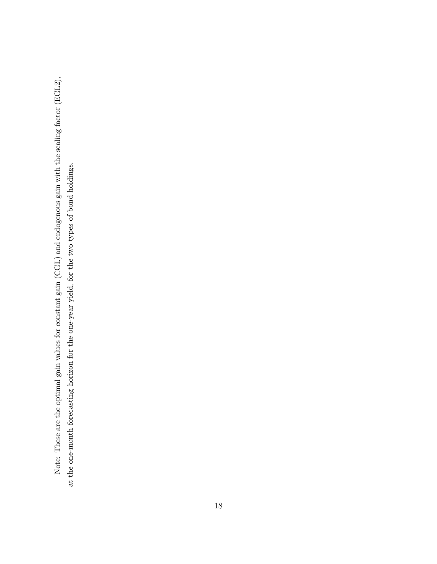Note: These are the optimal gain values for constant gain (CGL) and endogenous gain with the scaling factor (EGL2), Note: These are the optimal gain values for constant gain (CGL) and endogenous gain with the scaling factor (EGL2), at the one-month forecasting horizon for the one-year yield, for the two types of bond holdings. at the one-month forecasting horizon for the one-year yield, for the two types of bond holdings.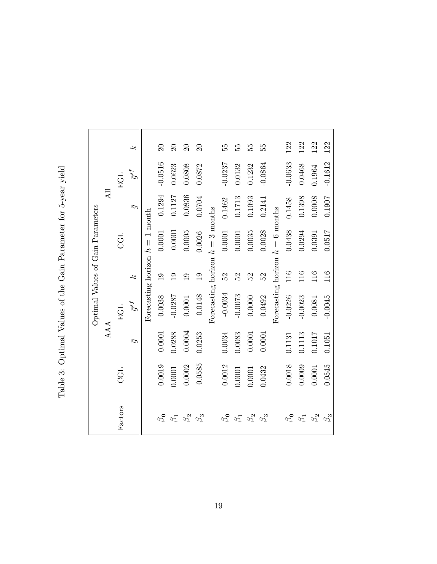| l<br>l                                     |
|--------------------------------------------|
| しょうしょ トレー<br>\$<br>≻ً<br>í                 |
| į                                          |
| the Parameter for h<br>ו<br>ל<br>ſ         |
| $\frac{1}{2}$<br>j                         |
| シェコン<br>$21 + 7$                           |
| I<br>$\frac{1}{2}$<br>ı<br> <br> <br> <br> |
| $\ddot{\phantom{a}}$<br>$-1$<br>l<br>ł     |
| 1<br>;<br>                                 |

<span id="page-18-0"></span>

|                      |        |            | Optimal Values of Gain Parameters  |                 |                                   |        |                |                |
|----------------------|--------|------------|------------------------------------|-----------------|-----------------------------------|--------|----------------|----------------|
|                      |        | <b>AAA</b> |                                    |                 |                                   | All    |                |                |
| Factors              | CGL    |            | EGL                                |                 | CGL                               |        | EGL            |                |
|                      |        | Ō          | $\bar{g}^{sf}$                     | يمه             |                                   | ō      | $\bar{g}^{sf}$ | $\sim$         |
|                      |        |            |                                    |                 | Forecasting horizon $h = 1$ month |        |                |                |
| $\beta_{\mathbf{0}}$ | 0.0019 | 0.0001     | 0.0038                             | 19              | 0.0001                            | 0.1294 | $-0.0516$      | $\Omega$       |
| $\beta_1$            | 0.0001 | 0.0288     | $-0.0287$                          | $\overline{19}$ | 0.0001                            | 0.1127 | 0.0623         | $\mathfrak{D}$ |
| $\beta_2$            | 0.0002 | 0.0004     | 0.0001                             | $\frac{0}{1}$   | 0.0005                            | 0.0836 | 0.0808         | $\Omega$       |
| $\mathbb{S}^3$       | 0.0585 | 0.0253     | 0.0148                             | $\overline{19}$ | 0.0026                            | 0.0704 | 0.0872         | $\Omega$       |
|                      |        |            | Forecasting horizon $h = 3$ months |                 |                                   |        |                |                |
| $\beta_{0}$          | 0.0012 | 0.0034     | $-0.0034$                          | 52              | 0.0001                            | 0.1462 | $-0.0237$      | 55             |
| $\beta_1$            | 0.0001 | 0.0083     | $-0.0073$                          | 52              | 0.0001                            | 0.1713 | 0.0132         | 55             |
| $\beta_2$            | 0.0001 | 0.0001     | 0.0000                             | 52              | 0.0035                            | 0.1093 | 0.1232         | 55             |
| $\mathbb{S}^3$       | 0.0432 | 0.0001     | 0.0492                             | 52              | 0.0028                            | 0.2141 | $-0.0864$      | 55             |
|                      |        |            | Forecasting horizon $h = 6$ months |                 |                                   |        |                |                |
| $\beta_{0}$          | 0.0018 | 0.1131     | $-0.0226$                          | 116             | 0.0438                            | 0.1458 | $-0.0633$      | 122            |
| $\beta_1$            | 0.0009 | 0.1113     | $-0.0023$                          | 116             | 0.0294                            | 0.1398 | 0.0468         | 122            |
| $\beta_2$            | 0.0001 | 0.1017     | 0.0081                             | 116             | 0.0391                            | 0.0008 | 0.1964         | 122            |
| $\beta_3$            | 0.0545 | 0.1051     | $-0.0045$                          | 116             | 0.0517                            | 0.1907 | $-0.1612$      | 122            |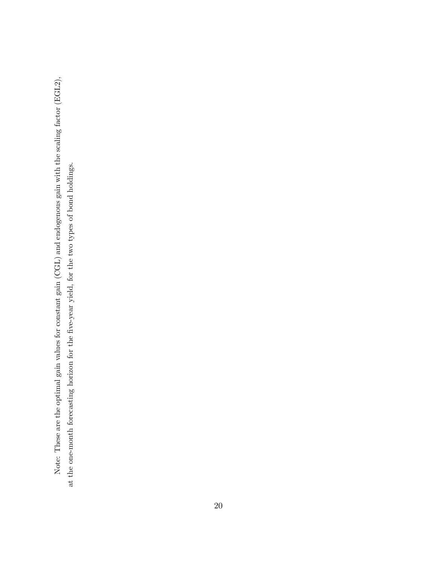Note: These are the optimal gain values for constant gain (CGL) and endogenous gain with the scaling factor (EGL2), Note: These are the optimal gain values for constant gain (CGL) and endogenous gain with the scaling factor (EGL2), at the one-month forecasting horizon for the five-year yield, for the two types of bond holdings. at the one-month forecasting horizon for the Öve-year yield, for the two types of bond holdings.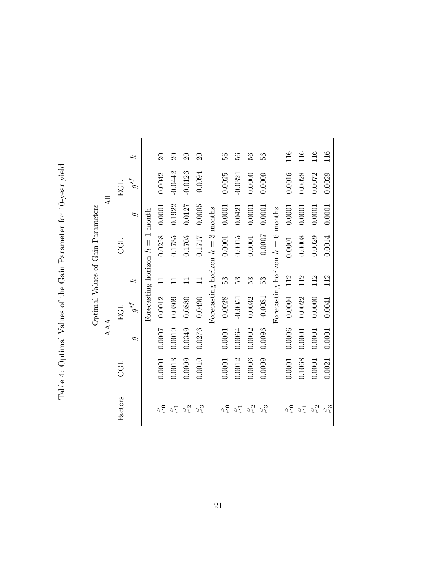| ı<br>ı                                                                                 |
|----------------------------------------------------------------------------------------|
| $T = T$<br>$\frac{1}{2}$                                                               |
|                                                                                        |
| $\frac{1}{2}$                                                                          |
| un Parameter tor lu<br> <br> <br>                                                      |
| ſ                                                                                      |
| $\frac{1}{2}$<br>Č                                                                     |
| t the                                                                                  |
| くりょう<br>)<br>J<br>,<br>,                                                               |
| $\ddot{\phantom{a}}$<br>$-1 - 1 - 1 = 1$<br>Ĺ                                          |
| Ì<br>į<br>֧֧֧֧֧֦֧֧֧֓֓֝֟֓֓֓֝֟֓֓֓֓֝֬֓֝֓֓֓֓<br>֧֧֧֧֧֧֧֧֧֦֧֦֧֦֧֦֧֝֩֩֝֬֘֩֩֓֝֬֓֝֬֩֓<br>֧֧֜֩֘ |

<span id="page-20-0"></span>

|                      |        |           |                |           | Optimal Values of Gain Parameters  |           |                |          |
|----------------------|--------|-----------|----------------|-----------|------------------------------------|-----------|----------------|----------|
|                      |        | AAA       |                |           |                                    | All       |                |          |
| Factors              | CGL    |           | EGL            |           | CGL                                |           | EGL            |          |
|                      |        | $\bar{g}$ | $\bar{g}^{sf}$ | $\approx$ |                                    | $\bar{9}$ | $\bar{g}^{sf}$ | جحہ      |
|                      |        |           |                |           | Forecasting horizon $h = 1$ month  |           |                |          |
| $\beta_{\mathbf{0}}$ | 0.0001 | 0.0007    | 0.0012         | $\Box$    | 0.0258                             | 0.0001    | 0.0042         | $\Omega$ |
| $\beta_1$            | 0.0013 | 0.0019    | 0.0309         |           | 0.1735                             | 0.1922    | $-0.0442$      | $\Omega$ |
| $\beta_2$            | 0.0009 | 0.0349    | 0.0880         |           | 0.1705                             | 0.0127    | $-0.0126$      | $\Omega$ |
| $\beta_3$            | 0.0010 | 0.0276    | 0.0490         | $\Box$    | 0.1717                             | 0.0095    | $-0.0094$      | $\Omega$ |
|                      |        |           |                |           | Forecasting horizon $h = 3$ months |           |                |          |
| $\beta_{\mathbf{0}}$ | 0.0001 | 0.0001    | 0.0028         | 33        | 0.0001                             | 0.0001    | 0.0025         | 56       |
| $\beta_1$            | 0.0012 | 0.0064    | $-0.0051$      | 53        | 0.0015                             | 0.0421    | $-0.0321$      | 56       |
| $\beta_2$            | 0.0006 | 0.0002    | 0.0032         | 33        | 0.0001                             | 0.0001    | 0.0000         | 56       |
| $\beta_3$            | 0.0009 | 0.0096    | $-0.0081$      | 33        | 0.0007                             | 0.0001    | 0.0009         | 36       |
|                      |        |           |                |           | Forecasting horizon $h = 6$ months |           |                |          |
| $\beta_{\mathbf{0}}$ | 0.0001 | 0.0006    | 0.0004         | 112       | 0.0001                             | 0.0001    | 0.0016         | 116      |
| $\beta_1$            | 0.1068 | 0.0001    | 0.0022         | 112       | 0.0008                             | 0.0001    | 0.0028         | 116      |
| $\beta_2$            | 0.0001 | 0.0001    | 0.0000         | 112       | 0.0029                             | 0.0001    | 0.0072         | 116      |
| $\beta_3$            | 0.0021 | 0.0001    | 0.0041         | 112       | 0.0014                             | 0.0001    | 0.0029         | 116      |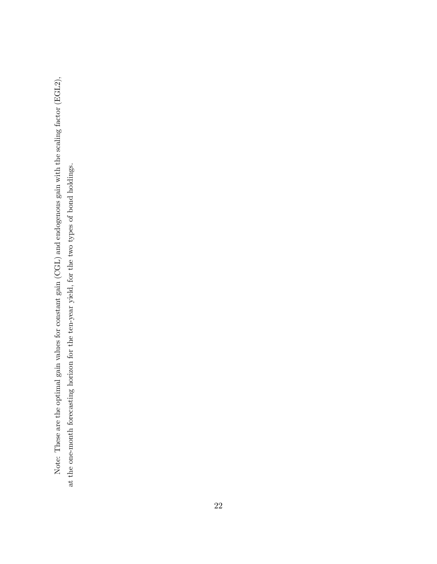Note: These are the optimal gain values for constant gain (CGL) and endogenous gain with the scaling factor (EGL2), Note: These are the optimal gain values for constant gain (CGL) and endogenous gain with the scaling factor (EGL2), at the one-month forecasting horizon for the ten-year yield, for the two types of bond holdings. at the one-month forecasting horizon for the ten-year yield, for the two types of bond holdings.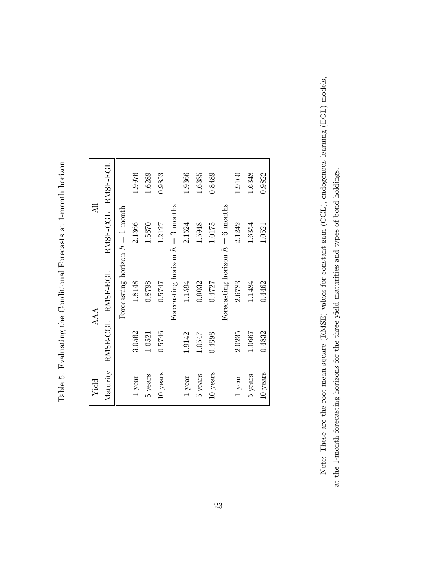| I<br>خ<br>ع<br>ì                                               |
|----------------------------------------------------------------|
| $\mathbf{I}$<br>ĺ<br>$-$ m $\Omega$<br>i<br>ī                  |
| .<br>.<br>$\frac{1}{2}$<br>ľ                                   |
| ĺ<br>C 104-104-2011<br>i<br>ζ                                  |
|                                                                |
| へんきょう アルチン<br>י<br>וגרון<br>ו<br>)<br>$\frac{3}{1}$<br>l       |
| $\begin{array}{c} \Gamma \\ \Gamma \\ \Gamma \end{array}$<br>i |

| Yield      |        | AAA               | Ξ                                  |        |
|------------|--------|-------------------|------------------------------------|--------|
| Maturity   |        | RMSE-CGL RMSE-EGL | RMSE-CGL RMSE-EGL                  |        |
|            |        |                   | Forecasting horizon $h = 1$ month  |        |
| 1 year     | 3.0562 | 1.8148            | 2.1366                             | 1.9976 |
| 5 years    | 1.0521 | 0.8798            | 1.5670                             | 1.6289 |
| $10$ years | 0.5746 | 0.5747            | 1.2127                             | 0.9853 |
|            |        |                   | Forecasting horizon $h = 3$ months |        |
| 1 year     | 1.9142 | 1.1594            | 2.1524                             | 1.9366 |
| 5 years    | 1.0547 | 0.9032            | 1.5948                             | 1.6385 |
| $10$ years | 0.4696 | 0.4727            | 1.0175                             | 0.8489 |
|            |        |                   | Forecasting horizon $h = 6$ months |        |
| 1 year     | 2.0235 | 2.6783            | 2.1242                             | 1.9160 |
| 5 years    | 1.0667 | 1.1484            | 1.6354                             | 1.6348 |
| $10$ years | 0.4832 | 0.4462            | 1.0521                             | 0.9822 |

<span id="page-22-0"></span>Note: These are the root mean square (RMSE) values for constant gain (CGL), endogenous learning (EGL) models, Note: These are the root mean square (RMSE) values for constant gain (CGL), endogenous learning (EGL) models, at the 1-month forecasting horizons for the three yield maturities and types of bond holdings. at the 1-month forecasting horizons for the three yield maturities and types of bond holdings.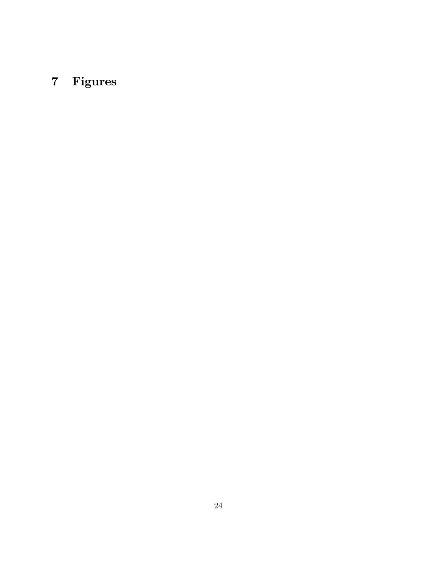# 7 Figures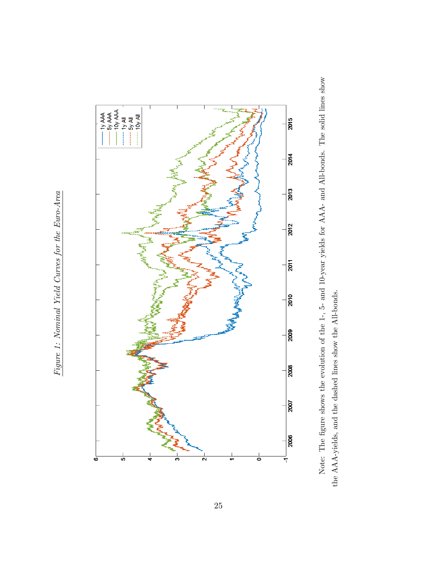Figure 1: Nominal Yield Curves for the Euro-Area Figure 1: Nominal Yield Curves for the Euro-Area



Note: The figure shows the evolution of the 1-, 5- and 10-year yields for AAA- and All-bonds. The solid lines show Note: The figure shows the evolution of the 1-, 5- and 10-year yields for  $AA$ - and  $All$ -bonds. The solid lines show the AAA-yields, and the dashed lines show the All-bonds. the AAA-yields, and the dashed lines show the All-bonds.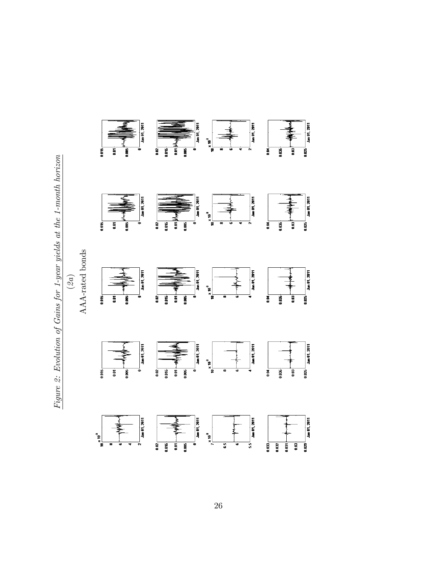Figure 2: Evolution of Gains for 1-year yields at the 1-month horizon Figure 2: Evolution of Gains for 1-year yields at the 1-month horizon

(2a)

AAA-rated bonds AAA-rated bonds